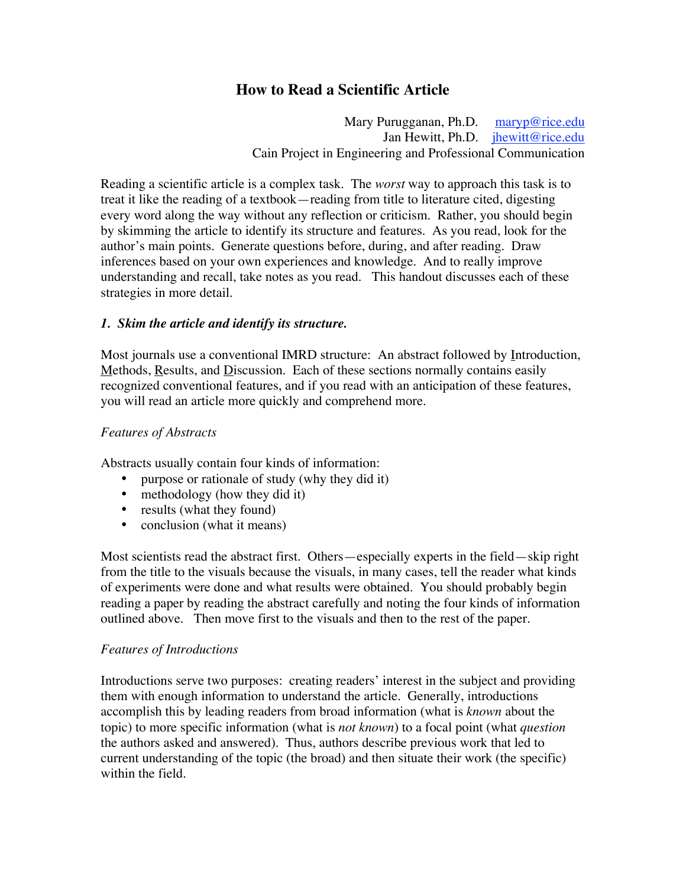## **How to Read a Scientific Article**

Mary Purugganan, Ph.D. maryp@rice.edu Jan Hewitt, Ph.D. jhewitt@rice.edu Cain Project in Engineering and Professional Communication

Reading a scientific article is a complex task. The *worst* way to approach this task is to treat it like the reading of a textbook—reading from title to literature cited, digesting every word along the way without any reflection or criticism. Rather, you should begin by skimming the article to identify its structure and features. As you read, look for the author's main points. Generate questions before, during, and after reading. Draw inferences based on your own experiences and knowledge. And to really improve understanding and recall, take notes as you read. This handout discusses each of these strategies in more detail.

#### *1. Skim the article and identify its structure.*

Most journals use a conventional IMRD structure: An abstract followed by Introduction, Methods, Results, and Discussion. Each of these sections normally contains easily recognized conventional features, and if you read with an anticipation of these features, you will read an article more quickly and comprehend more.

#### *Features of Abstracts*

Abstracts usually contain four kinds of information:

- purpose or rationale of study (why they did it)
- methodology (how they did it)
- results (what they found)
- conclusion (what it means)

Most scientists read the abstract first. Others—especially experts in the field—skip right from the title to the visuals because the visuals, in many cases, tell the reader what kinds of experiments were done and what results were obtained. You should probably begin reading a paper by reading the abstract carefully and noting the four kinds of information outlined above. Then move first to the visuals and then to the rest of the paper.

#### *Features of Introductions*

Introductions serve two purposes: creating readers' interest in the subject and providing them with enough information to understand the article. Generally, introductions accomplish this by leading readers from broad information (what is *known* about the topic) to more specific information (what is *not known*) to a focal point (what *question* the authors asked and answered). Thus, authors describe previous work that led to current understanding of the topic (the broad) and then situate their work (the specific) within the field.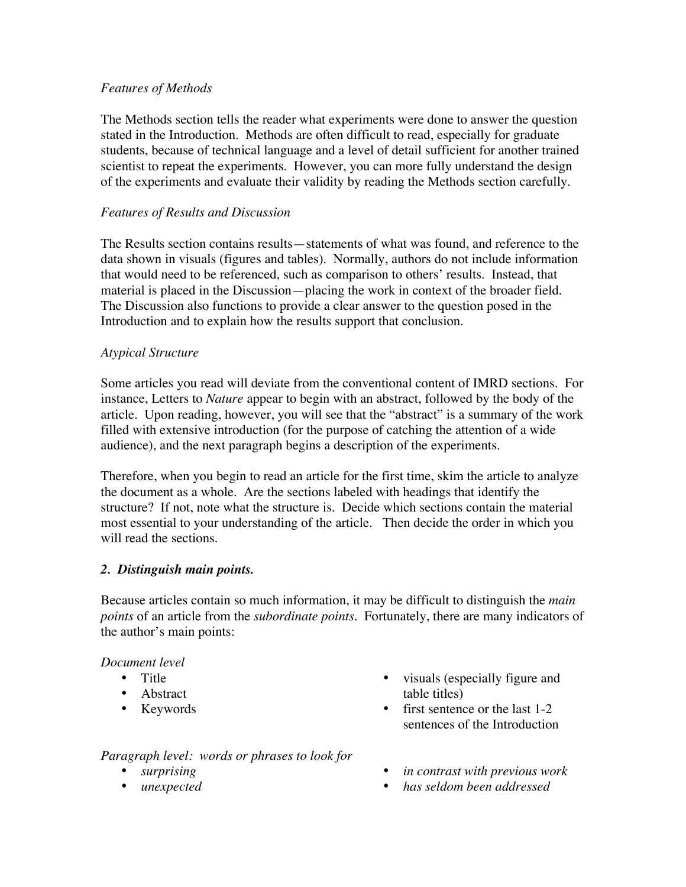### *Features of Methods*

The Methods section tells the reader what experiments were done to answer the question stated in the Introduction. Methods are often difficult to read, especially for graduate students, because of technical language and a level of detail sufficient for another trained scientist to repeat the experiments. However, you can more fully understand the design of the experiments and evaluate their validity by reading the Methods section carefully.

### *Features of Results and Discussion*

The Results section contains results—statements of what was found, and reference to the data shown in visuals (figures and tables). Normally, authors do not include information that would need to be referenced, such as comparison to others' results. Instead, that material is placed in the Discussion—placing the work in context of the broader field. The Discussion also functions to provide a clear answer to the question posed in the Introduction and to explain how the results support that conclusion.

#### *Atypical Structure*

Some articles you read will deviate from the conventional content of IMRD sections. For instance, Letters to *Nature* appear to begin with an abstract, followed by the body of the article. Upon reading, however, you will see that the "abstract" is a summary of the work filled with extensive introduction (for the purpose of catching the attention of a wide audience), and the next paragraph begins a description of the experiments.

Therefore, when you begin to read an article for the first time, skim the article to analyze the document as a whole. Are the sections labeled with headings that identify the structure? If not, note what the structure is. Decide which sections contain the material most essential to your understanding of the article. Then decide the order in which you will read the sections.

#### *2. Distinguish main points.*

Because articles contain so much information, it may be difficult to distinguish the *main points* of an article from the *subordinate points*. Fortunately, there are many indicators of the author's main points:

#### *Document level*

- Title
- Abstract
- Keywords
- *Paragraph level: words or phrases to look for*
	- *surprising*
	- *unexpected*
- visuals (especially figure and table titles)
- first sentence or the last 1-2 sentences of the Introduction
- *in contrast with previous work*
- *has seldom been addressed*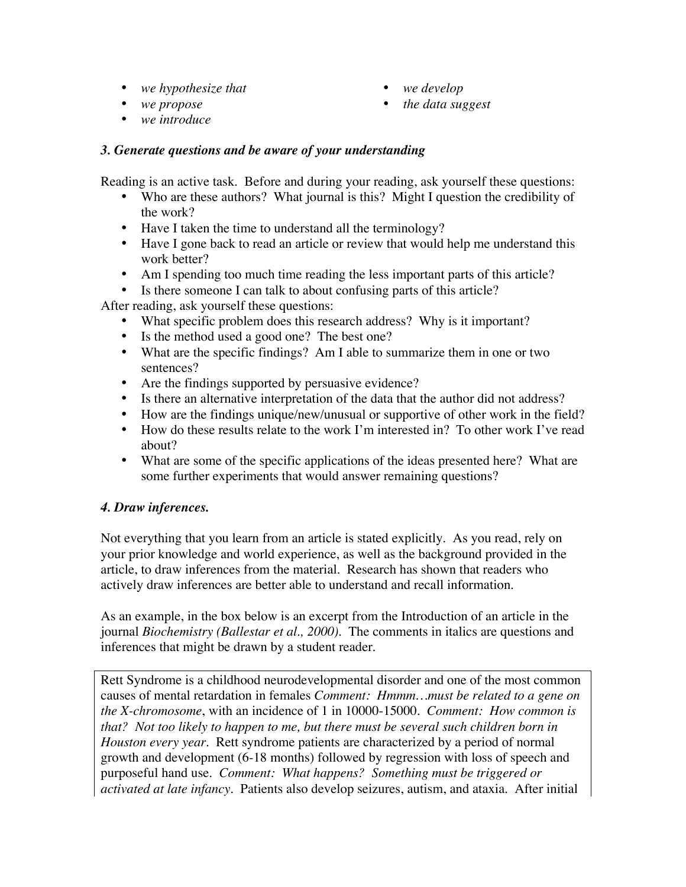- *we hypothesize that*
- *we propose*
- *we introduce*

# *3. Generate questions and be aware of your understanding*

Reading is an active task. Before and during your reading, ask yourself these questions:

- Who are these authors? What journal is this? Might I question the credibility of the work?
- Have I taken the time to understand all the terminology?
- Have I gone back to read an article or review that would help me understand this work better?
- Am I spending too much time reading the less important parts of this article?
- Is there someone I can talk to about confusing parts of this article?

After reading, ask yourself these questions:

- What specific problem does this research address? Why is it important?
- Is the method used a good one? The best one?
- What are the specific findings? Am I able to summarize them in one or two sentences?
- Are the findings supported by persuasive evidence?
- Is there an alternative interpretation of the data that the author did not address?
- How are the findings unique/new/unusual or supportive of other work in the field?
- How do these results relate to the work I'm interested in? To other work I've read about?
- What are some of the specific applications of the ideas presented here? What are some further experiments that would answer remaining questions?

## *4. Draw inferences.*

Not everything that you learn from an article is stated explicitly. As you read, rely on your prior knowledge and world experience, as well as the background provided in the article, to draw inferences from the material. Research has shown that readers who actively draw inferences are better able to understand and recall information.

As an example, in the box below is an excerpt from the Introduction of an article in the journal *Biochemistry (Ballestar et al., 2000)*. The comments in italics are questions and inferences that might be drawn by a student reader.

Rett Syndrome is a childhood neurodevelopmental disorder and one of the most common causes of mental retardation in females *Comment: Hmmm…must be related to a gene on the X-chromosome*, with an incidence of 1 in 10000-15000. *Comment: How common is that? Not too likely to happen to me, but there must be several such children born in Houston every year.* Rett syndrome patients are characterized by a period of normal growth and development (6-18 months) followed by regression with loss of speech and purposeful hand use. *Comment: What happens? Something must be triggered or activated at late infancy.* Patients also develop seizures, autism, and ataxia. After initial

- *we develop*
- *the data suggest*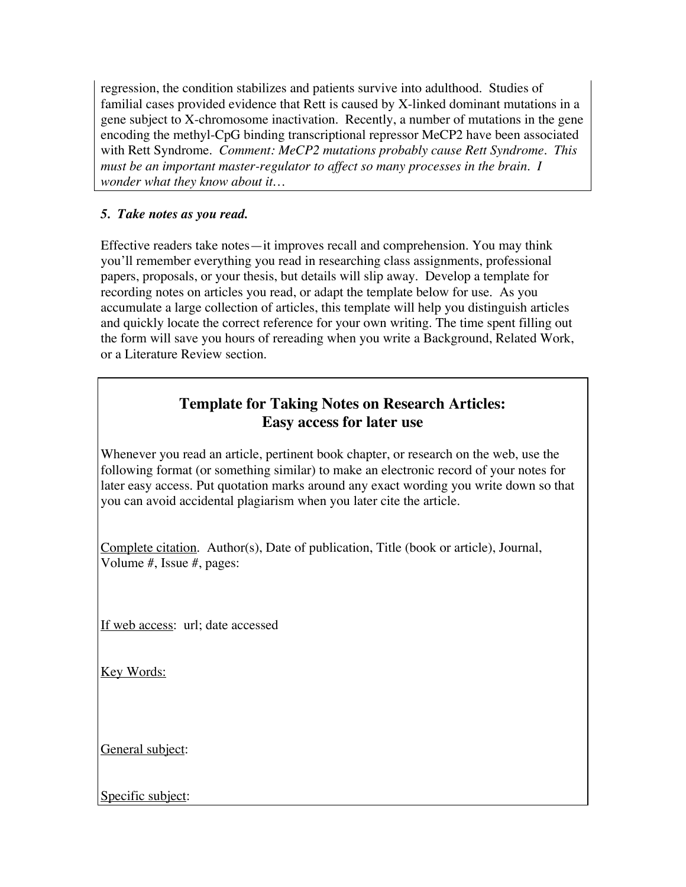regression, the condition stabilizes and patients survive into adulthood. Studies of familial cases provided evidence that Rett is caused by X-linked dominant mutations in a gene subject to X-chromosome inactivation. Recently, a number of mutations in the gene encoding the methyl-CpG binding transcriptional repressor MeCP2 have been associated with Rett Syndrome. *Comment: MeCP2 mutations probably cause Rett Syndrome. This must be an important master-regulator to affect so many processes in the brain. I wonder what they know about it…*

## *5. Take notes as you read.*

Effective readers take notes—it improves recall and comprehension. You may think you'll remember everything you read in researching class assignments, professional papers, proposals, or your thesis, but details will slip away. Develop a template for recording notes on articles you read, or adapt the template below for use. As you accumulate a large collection of articles, this template will help you distinguish articles and quickly locate the correct reference for your own writing. The time spent filling out the form will save you hours of rereading when you write a Background, Related Work, or a Literature Review section.

# **Template for Taking Notes on Research Articles: Easy access for later use**

Whenever you read an article, pertinent book chapter, or research on the web, use the following format (or something similar) to make an electronic record of your notes for later easy access. Put quotation marks around any exact wording you write down so that you can avoid accidental plagiarism when you later cite the article.

Complete citation. Author(s), Date of publication, Title (book or article), Journal, Volume #, Issue #, pages:

If web access: url; date accessed

Key Words:

General subject:

Specific subject: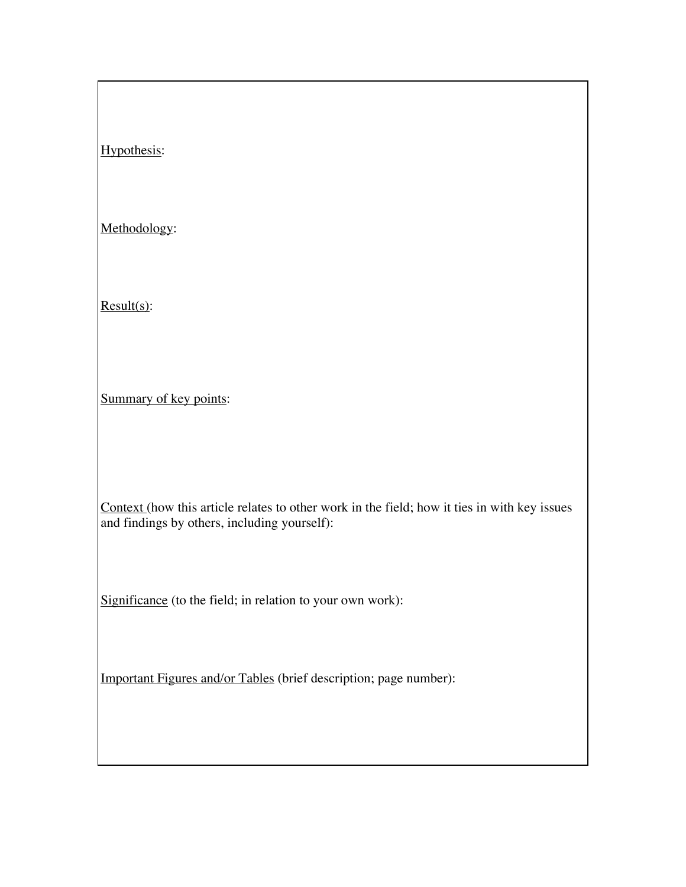## Hypothesis:

Methodology:

 $Result(s):$ 

Summary of key points:

Context (how this article relates to other work in the field; how it ties in with key issues and findings by others, including yourself):

Significance (to the field; in relation to your own work):

Important Figures and/or Tables (brief description; page number):